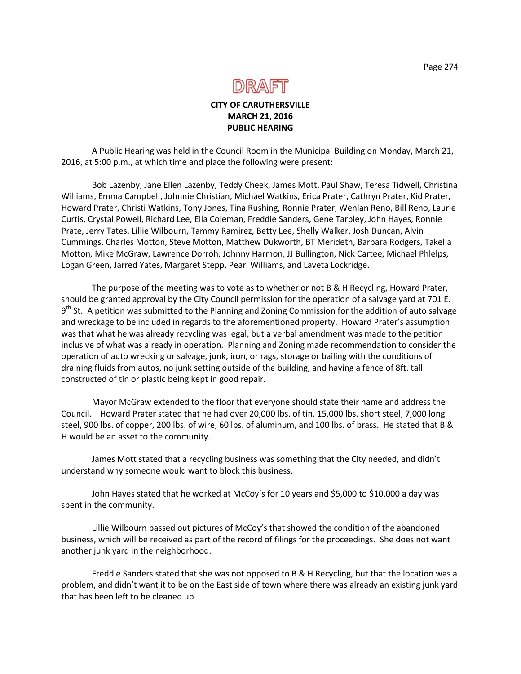

### **CITY OF CARUTHERSVILLE MARCH 21, 2016 PUBLIC HEARING**

A Public Hearing was held in the Council Room in the Municipal Building on Monday, March 21, 2016, at 5:00 p.m., at which time and place the following were present:

Bob Lazenby, Jane Ellen Lazenby, Teddy Cheek, James Mott, Paul Shaw, Teresa Tidwell, Christina Williams, Emma Campbell, Johnnie Christian, Michael Watkins, Erica Prater, Cathryn Prater, Kid Prater, Howard Prater, Christi Watkins, Tony Jones, Tina Rushing, Ronnie Prater, Wenlan Reno, Bill Reno, Laurie Curtis, Crystal Powell, Richard Lee, Ella Coleman, Freddie Sanders, Gene Tarpley, John Hayes, Ronnie Prate, Jerry Tates, Lillie Wilbourn, Tammy Ramirez, Betty Lee, Shelly Walker, Josh Duncan, Alvin Cummings, Charles Motton, Steve Motton, Matthew Dukworth, BT Merideth, Barbara Rodgers, Takella Motton, Mike McGraw, Lawrence Dorroh, Johnny Harmon, JJ Bullington, Nick Cartee, Michael Phlelps, Logan Green, Jarred Yates, Margaret Stepp, Pearl Williams, and Laveta Lockridge.

The purpose of the meeting was to vote as to whether or not B & H Recycling, Howard Prater, should be granted approval by the City Council permission for the operation of a salvage yard at 701 E. 9<sup>th</sup> St. A petition was submitted to the Planning and Zoning Commission for the addition of auto salvage and wreckage to be included in regards to the aforementioned property. Howard Prater's assumption was that what he was already recycling was legal, but a verbal amendment was made to the petition inclusive of what was already in operation. Planning and Zoning made recommendation to consider the operation of auto wrecking or salvage, junk, iron, or rags, storage or bailing with the conditions of draining fluids from autos, no junk setting outside of the building, and having a fence of 8ft. tall constructed of tin or plastic being kept in good repair.

Mayor McGraw extended to the floor that everyone should state their name and address the Council. Howard Prater stated that he had over 20,000 lbs. of tin, 15,000 lbs. short steel, 7,000 long steel, 900 lbs. of copper, 200 lbs. of wire, 60 lbs. of aluminum, and 100 lbs. of brass. He stated that B & H would be an asset to the community.

James Mott stated that a recycling business was something that the City needed, and didn't understand why someone would want to block this business.

John Hayes stated that he worked at McCoy's for 10 years and \$5,000 to \$10,000 a day was spent in the community.

Lillie Wilbourn passed out pictures of McCoy's that showed the condition of the abandoned business, which will be received as part of the record of filings for the proceedings. She does not want another junk yard in the neighborhood.

Freddie Sanders stated that she was not opposed to B & H Recycling, but that the location was a problem, and didn't want it to be on the East side of town where there was already an existing junk yard that has been left to be cleaned up.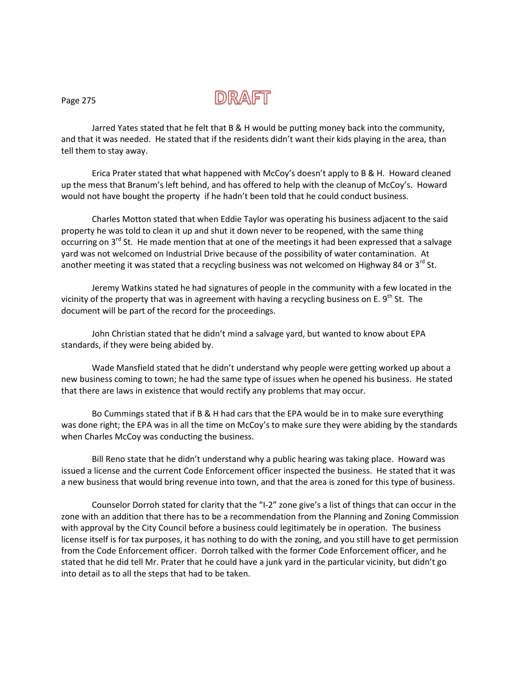

Jarred Yates stated that he felt that B & H would be putting money back into the community, and that it was needed. He stated that if the residents didn't want their kids playing in the area, than tell them to stay away.

Erica Prater stated that what happened with McCoy's doesn't apply to B & H. Howard cleaned up the mess that Branum's left behind, and has offered to help with the cleanup of McCoy's. Howard would not have bought the property if he hadn't been told that he could conduct business.

Charles Motton stated that when Eddie Taylor was operating his business adjacent to the said property he was told to clean it up and shut it down never to be reopened, with the same thing occurring on  $3<sup>rd</sup>$  St. He made mention that at one of the meetings it had been expressed that a salvage yard was not welcomed on Industrial Drive because of the possibility of water contamination. At another meeting it was stated that a recycling business was not welcomed on Highway 84 or  $3^{rd}$  St.

Jeremy Watkins stated he had signatures of people in the community with a few located in the vicinity of the property that was in agreement with having a recycling business on E.  $9<sup>th</sup>$  St. The document will be part of the record for the proceedings.

John Christian stated that he didn't mind a salvage yard, but wanted to know about EPA standards, if they were being abided by.

Wade Mansfield stated that he didn't understand why people were getting worked up about a new business coming to town; he had the same type of issues when he opened his business. He stated that there are laws in existence that would rectify any problems that may occur.

Bo Cummings stated that if B & H had cars that the EPA would be in to make sure everything was done right; the EPA was in all the time on McCoy's to make sure they were abiding by the standards when Charles McCoy was conducting the business.

Bill Reno state that he didn't understand why a public hearing was taking place. Howard was issued a license and the current Code Enforcement officer inspected the business. He stated that it was a new business that would bring revenue into town, and that the area is zoned for this type of business.

Counselor Dorroh stated for clarity that the "I-2" zone give's a list of things that can occur in the zone with an addition that there has to be a recommendation from the Planning and Zoning Commission with approval by the City Council before a business could legitimately be in operation. The business license itself is for tax purposes, it has nothing to do with the zoning, and you still have to get permission from the Code Enforcement officer. Dorroh talked with the former Code Enforcement officer, and he stated that he did tell Mr. Prater that he could have a junk yard in the particular vicinity, but didn't go into detail as to all the steps that had to be taken.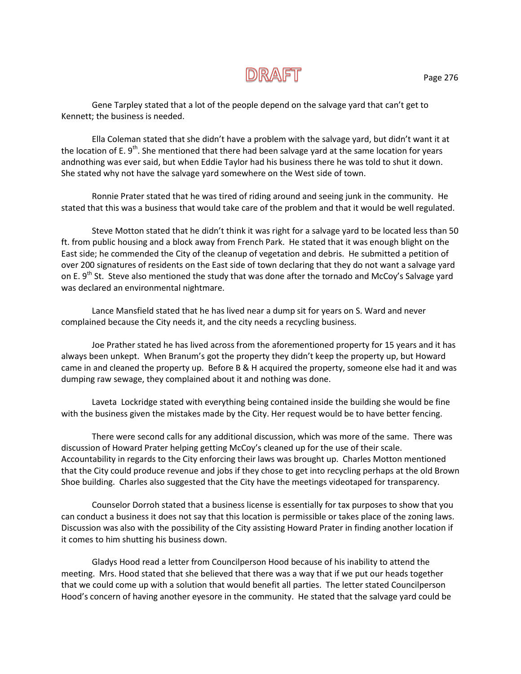Gene Tarpley stated that a lot of the people depend on the salvage yard that can't get to Kennett; the business is needed.

Ella Coleman stated that she didn't have a problem with the salvage yard, but didn't want it at the location of E.  $9<sup>th</sup>$ . She mentioned that there had been salvage yard at the same location for years andnothing was ever said, but when Eddie Taylor had his business there he was told to shut it down. She stated why not have the salvage yard somewhere on the West side of town.

Ronnie Prater stated that he was tired of riding around and seeing junk in the community. He stated that this was a business that would take care of the problem and that it would be well regulated.

Steve Motton stated that he didn't think it was right for a salvage yard to be located less than 50 ft. from public housing and a block away from French Park. He stated that it was enough blight on the East side; he commended the City of the cleanup of vegetation and debris. He submitted a petition of over 200 signatures of residents on the East side of town declaring that they do not want a salvage yard on E. 9<sup>th</sup> St. Steve also mentioned the study that was done after the tornado and McCoy's Salvage yard was declared an environmental nightmare.

Lance Mansfield stated that he has lived near a dump sit for years on S. Ward and never complained because the City needs it, and the city needs a recycling business.

Joe Prather stated he has lived across from the aforementioned property for 15 years and it has always been unkept. When Branum's got the property they didn't keep the property up, but Howard came in and cleaned the property up. Before B & H acquired the property, someone else had it and was dumping raw sewage, they complained about it and nothing was done.

Laveta Lockridge stated with everything being contained inside the building she would be fine with the business given the mistakes made by the City. Her request would be to have better fencing.

There were second calls for any additional discussion, which was more of the same. There was discussion of Howard Prater helping getting McCoy's cleaned up for the use of their scale. Accountability in regards to the City enforcing their laws was brought up. Charles Motton mentioned that the City could produce revenue and jobs if they chose to get into recycling perhaps at the old Brown Shoe building. Charles also suggested that the City have the meetings videotaped for transparency.

Counselor Dorroh stated that a business license is essentially for tax purposes to show that you can conduct a business it does not say that this location is permissible or takes place of the zoning laws. Discussion was also with the possibility of the City assisting Howard Prater in finding another location if it comes to him shutting his business down.

Gladys Hood read a letter from Councilperson Hood because of his inability to attend the meeting. Mrs. Hood stated that she believed that there was a way that if we put our heads together that we could come up with a solution that would benefit all parties. The letter stated Councilperson Hood's concern of having another eyesore in the community. He stated that the salvage yard could be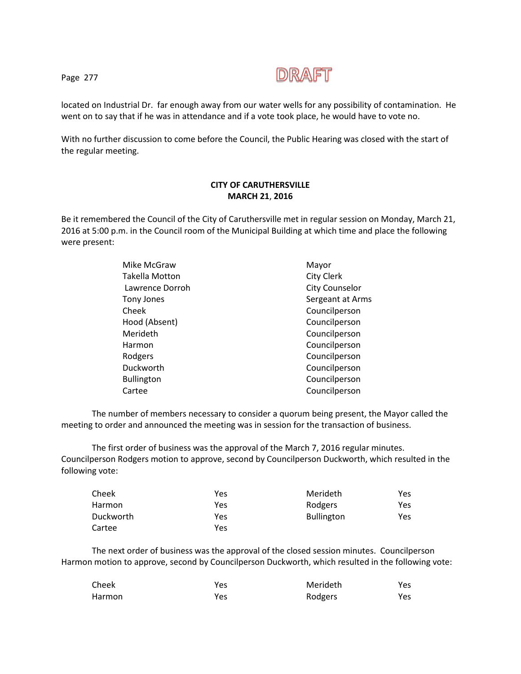

located on Industrial Dr. far enough away from our water wells for any possibility of contamination. He went on to say that if he was in attendance and if a vote took place, he would have to vote no.

With no further discussion to come before the Council, the Public Hearing was closed with the start of the regular meeting.

#### **CITY OF CARUTHERSVILLE MARCH 21**, **2016**

Be it remembered the Council of the City of Caruthersville met in regular session on Monday, March 21, 2016 at 5:00 p.m. in the Council room of the Municipal Building at which time and place the following were present:

| Mike McGraw           | Mayor                 |
|-----------------------|-----------------------|
| <b>Takella Motton</b> | <b>City Clerk</b>     |
| Lawrence Dorroh       | <b>City Counselor</b> |
| Tony Jones            | Sergeant at Arms      |
| Cheek                 | Councilperson         |
| Hood (Absent)         | Councilperson         |
| Merideth              | Councilperson         |
| Harmon                | Councilperson         |
| Rodgers               | Councilperson         |
| Duckworth             | Councilperson         |
| <b>Bullington</b>     | Councilperson         |
| Cartee                | Councilperson         |
|                       |                       |

The number of members necessary to consider a quorum being present, the Mayor called the meeting to order and announced the meeting was in session for the transaction of business.

The first order of business was the approval of the March 7, 2016 regular minutes. Councilperson Rodgers motion to approve, second by Councilperson Duckworth, which resulted in the following vote:

| Cheek     | Yes | Merideth          | Yes |
|-----------|-----|-------------------|-----|
| Harmon    | Yes | Rodgers           | Yes |
| Duckworth | Yes | <b>Bullington</b> | Yes |
| Cartee    | Yes |                   |     |

The next order of business was the approval of the closed session minutes. Councilperson Harmon motion to approve, second by Councilperson Duckworth, which resulted in the following vote:

| Cheek  | Yes | Merideth | <b>Yes</b> |
|--------|-----|----------|------------|
| Harmon | Yes | Rodgers  | Yes        |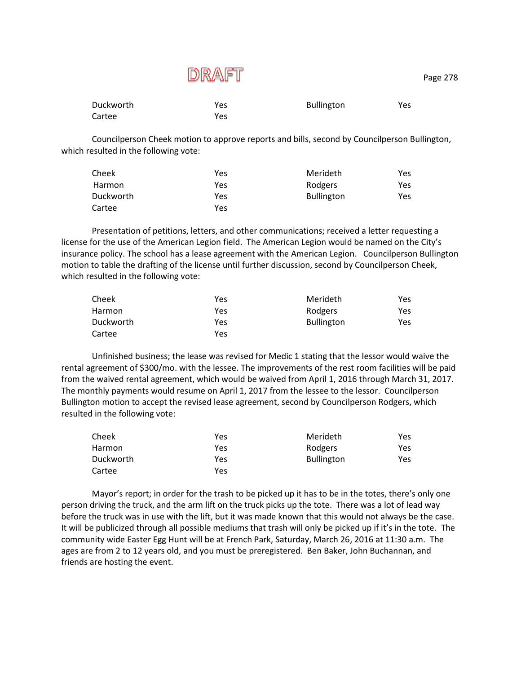| <b>Duckworth</b> | Yes | <b>Bullington</b> | Yes |
|------------------|-----|-------------------|-----|
| Cartee           | Yes |                   |     |

Councilperson Cheek motion to approve reports and bills, second by Councilperson Bullington, which resulted in the following vote:

| Cheek         | Yes | Merideth          | Yes |
|---------------|-----|-------------------|-----|
| <b>Harmon</b> | Yes | Rodgers           | Yes |
| Duckworth     | Yes | <b>Bullington</b> | Yes |
| Cartee        | Yes |                   |     |

Presentation of petitions, letters, and other communications; received a letter requesting a license for the use of the American Legion field. The American Legion would be named on the City's insurance policy. The school has a lease agreement with the American Legion. Councilperson Bullington motion to table the drafting of the license until further discussion, second by Councilperson Cheek, which resulted in the following vote:

| Cheek     | Yes | Merideth          | Yes |
|-----------|-----|-------------------|-----|
| Harmon    | Yes | Rodgers           | Yes |
| Duckworth | Yes | <b>Bullington</b> | Yes |
| Cartee    | Yes |                   |     |

Unfinished business; the lease was revised for Medic 1 stating that the lessor would waive the rental agreement of \$300/mo. with the lessee. The improvements of the rest room facilities will be paid from the waived rental agreement, which would be waived from April 1, 2016 through March 31, 2017. The monthly payments would resume on April 1, 2017 from the lessee to the lessor. Councilperson Bullington motion to accept the revised lease agreement, second by Councilperson Rodgers, which resulted in the following vote:

| Cheek     | Yes | Merideth          | Yes  |
|-----------|-----|-------------------|------|
| Harmon    | Yes | Rodgers           | Yes  |
| Duckworth | Yes | <b>Bullington</b> | Yes. |
| Cartee    | Yes |                   |      |

Mayor's report; in order for the trash to be picked up it has to be in the totes, there's only one person driving the truck, and the arm lift on the truck picks up the tote. There was a lot of lead way before the truck was in use with the lift, but it was made known that this would not always be the case. It will be publicized through all possible mediums that trash will only be picked up if it's in the tote. The community wide Easter Egg Hunt will be at French Park, Saturday, March 26, 2016 at 11:30 a.m. The ages are from 2 to 12 years old, and you must be preregistered. Ben Baker, John Buchannan, and friends are hosting the event.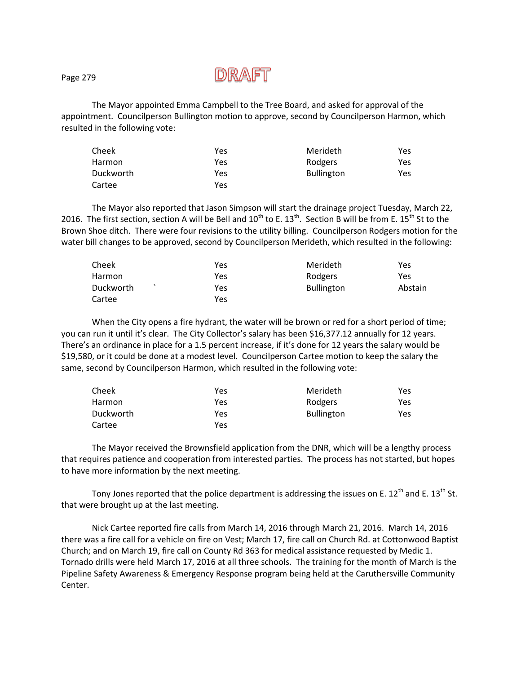## D)R/AFT

The Mayor appointed Emma Campbell to the Tree Board, and asked for approval of the appointment. Councilperson Bullington motion to approve, second by Councilperson Harmon, which resulted in the following vote:

| Cheek     | Yes | Merideth          | Yes |
|-----------|-----|-------------------|-----|
| Harmon    | Yes | Rodgers           | Yes |
| Duckworth | Yes | <b>Bullington</b> | Yes |
| Cartee    | Yes |                   |     |

The Mayor also reported that Jason Simpson will start the drainage project Tuesday, March 22, 2016. The first section, section A will be Bell and  $10^{th}$  to E.  $13^{th}$ . Section B will be from E.  $15^{th}$  St to the Brown Shoe ditch. There were four revisions to the utility billing. Councilperson Rodgers motion for the water bill changes to be approved, second by Councilperson Merideth, which resulted in the following:

| Cheek            | Yes | Merideth          | Yes     |
|------------------|-----|-------------------|---------|
| Harmon           | Yes | Rodgers           | Yes     |
| <b>Duckworth</b> | Yes | <b>Bullington</b> | Abstain |
| Cartee           | Yes |                   |         |

When the City opens a fire hydrant, the water will be brown or red for a short period of time; you can run it until it's clear. The City Collector's salary has been \$16,377.12 annually for 12 years. There's an ordinance in place for a 1.5 percent increase, if it's done for 12 years the salary would be \$19,580, or it could be done at a modest level. Councilperson Cartee motion to keep the salary the same, second by Councilperson Harmon, which resulted in the following vote:

| Cheek     | Yes | Merideth          | Yes. |
|-----------|-----|-------------------|------|
| Harmon    | Yes | Rodgers           | Yes. |
| Duckworth | Yes | <b>Bullington</b> | Yes. |
| Cartee    | Yes |                   |      |

The Mayor received the Brownsfield application from the DNR, which will be a lengthy process that requires patience and cooperation from interested parties. The process has not started, but hopes to have more information by the next meeting.

Tony Jones reported that the police department is addressing the issues on E. 12<sup>th</sup> and E. 13<sup>th</sup> St. that were brought up at the last meeting.

Nick Cartee reported fire calls from March 14, 2016 through March 21, 2016. March 14, 2016 there was a fire call for a vehicle on fire on Vest; March 17, fire call on Church Rd. at Cottonwood Baptist Church; and on March 19, fire call on County Rd 363 for medical assistance requested by Medic 1. Tornado drills were held March 17, 2016 at all three schools. The training for the month of March is the Pipeline Safety Awareness & Emergency Response program being held at the Caruthersville Community Center.

Page 279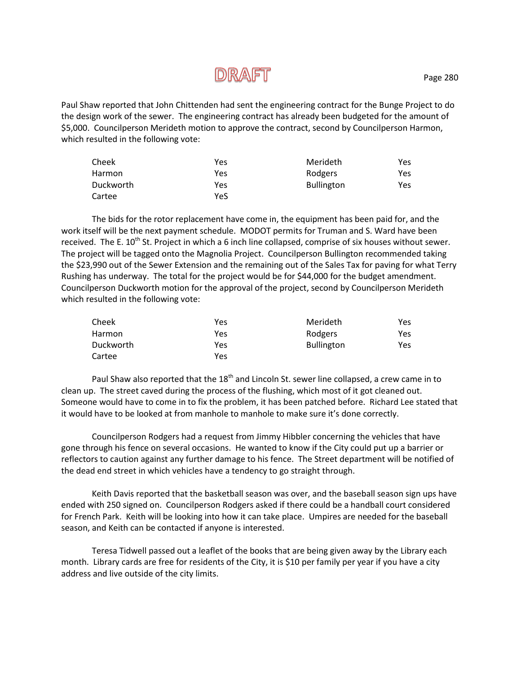# **DRAFT**

Paul Shaw reported that John Chittenden had sent the engineering contract for the Bunge Project to do the design work of the sewer. The engineering contract has already been budgeted for the amount of \$5,000. Councilperson Merideth motion to approve the contract, second by Councilperson Harmon, which resulted in the following vote:

| Cheek     | Yes | Merideth          | Yes |
|-----------|-----|-------------------|-----|
| Harmon    | Yes | Rodgers           | Yes |
| Duckworth | Yes | <b>Bullington</b> | Yes |
| Cartee    | YeS |                   |     |

The bids for the rotor replacement have come in, the equipment has been paid for, and the work itself will be the next payment schedule. MODOT permits for Truman and S. Ward have been received. The E.  $10^{th}$  St. Project in which a 6 inch line collapsed, comprise of six houses without sewer. The project will be tagged onto the Magnolia Project. Councilperson Bullington recommended taking the \$23,990 out of the Sewer Extension and the remaining out of the Sales Tax for paving for what Terry Rushing has underway. The total for the project would be for \$44,000 for the budget amendment. Councilperson Duckworth motion for the approval of the project, second by Councilperson Merideth which resulted in the following vote:

| Cheek     | Yes | Merideth          | Yes |
|-----------|-----|-------------------|-----|
| Harmon    | Yes | Rodgers           | Yes |
| Duckworth | Yes | <b>Bullington</b> | Yes |
| Cartee    | Yes |                   |     |

Paul Shaw also reported that the 18<sup>th</sup> and Lincoln St. sewer line collapsed, a crew came in to clean up. The street caved during the process of the flushing, which most of it got cleaned out. Someone would have to come in to fix the problem, it has been patched before. Richard Lee stated that it would have to be looked at from manhole to manhole to make sure it's done correctly.

Councilperson Rodgers had a request from Jimmy Hibbler concerning the vehicles that have gone through his fence on several occasions. He wanted to know if the City could put up a barrier or reflectors to caution against any further damage to his fence. The Street department will be notified of the dead end street in which vehicles have a tendency to go straight through.

Keith Davis reported that the basketball season was over, and the baseball season sign ups have ended with 250 signed on. Councilperson Rodgers asked if there could be a handball court considered for French Park. Keith will be looking into how it can take place. Umpires are needed for the baseball season, and Keith can be contacted if anyone is interested.

Teresa Tidwell passed out a leaflet of the books that are being given away by the Library each month. Library cards are free for residents of the City, it is \$10 per family per year if you have a city address and live outside of the city limits.